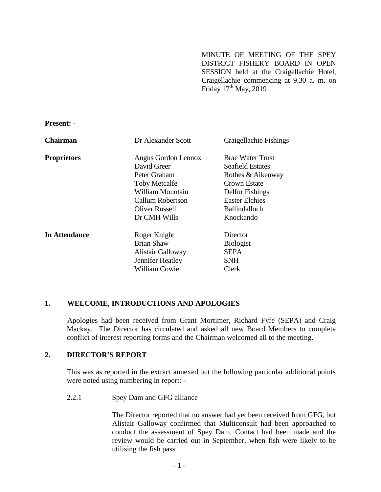MINUTE OF MEETING OF THE SPEY DISTRICT FISHERY BOARD IN OPEN SESSION held at the Craigellachie Hotel, Craigellachie commencing at 9.30 a. m. on Friday  $17<sup>th</sup>$  May, 2019

**Present: -**

| <b>Chairman</b>      | Dr Alexander Scott   | Craigellachie Fishings  |
|----------------------|----------------------|-------------------------|
| <b>Proprietors</b>   | Angus Gordon Lennox  | <b>Brae Water Trust</b> |
|                      | David Greer          | Seafield Estates        |
|                      | Peter Graham         | Rothes & Aikenway       |
|                      | <b>Toby Metcalfe</b> | Crown Estate            |
|                      | William Mountain     | Delfur Fishings         |
|                      | Callum Robertson     | <b>Easter Elchies</b>   |
|                      | Oliver Russell       | <b>Ballindalloch</b>    |
|                      | Dr CMH Wills         | Knockando               |
| <b>In Attendance</b> | Roger Knight         | Director                |
|                      | <b>Brian Shaw</b>    | <b>Biologist</b>        |
|                      | Alistair Galloway    | <b>SEPA</b>             |
|                      | Jennifer Heatley     | SNH                     |
|                      | <b>William Cowie</b> | Clerk                   |

#### **1. WELCOME, INTRODUCTIONS AND APOLOGIES**

Apologies had been received from Grant Mortimer, Richard Fyfe (SEPA) and Craig Mackay. The Director has circulated and asked all new Board Members to complete conflict of interest reporting forms and the Chairman welcomed all to the meeting.

#### **2. DIRECTOR'S REPORT**

This was as reported in the extract annexed but the following particular additional points were noted using numbering in report: -

#### 2.2.1 Spey Dam and GFG alliance

The Director reported that no answer had yet been received from GFG, but Alistair Galloway confirmed that Multiconsult had been approached to conduct the assessment of Spey Dam. Contact had been made and the review would be carried out in September, when fish were likely to be utilising the fish pass.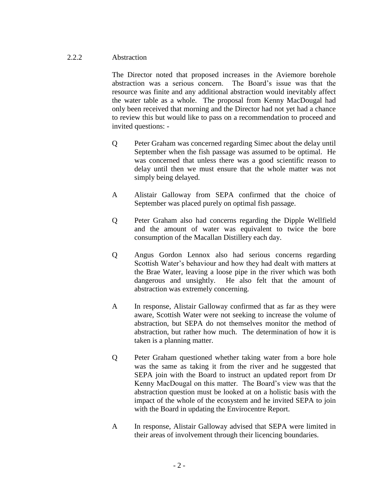### 2.2.2 Abstraction

The Director noted that proposed increases in the Aviemore borehole abstraction was a serious concern. The Board's issue was that the resource was finite and any additional abstraction would inevitably affect the water table as a whole. The proposal from Kenny MacDougal had only been received that morning and the Director had not yet had a chance to review this but would like to pass on a recommendation to proceed and invited questions: -

- Q Peter Graham was concerned regarding Simec about the delay until September when the fish passage was assumed to be optimal. He was concerned that unless there was a good scientific reason to delay until then we must ensure that the whole matter was not simply being delayed.
- A Alistair Galloway from SEPA confirmed that the choice of September was placed purely on optimal fish passage.
- Q Peter Graham also had concerns regarding the Dipple Wellfield and the amount of water was equivalent to twice the bore consumption of the Macallan Distillery each day.
- Q Angus Gordon Lennox also had serious concerns regarding Scottish Water's behaviour and how they had dealt with matters at the Brae Water, leaving a loose pipe in the river which was both dangerous and unsightly. He also felt that the amount of abstraction was extremely concerning.
- A In response, Alistair Galloway confirmed that as far as they were aware, Scottish Water were not seeking to increase the volume of abstraction, but SEPA do not themselves monitor the method of abstraction, but rather how much. The determination of how it is taken is a planning matter.
- Q Peter Graham questioned whether taking water from a bore hole was the same as taking it from the river and he suggested that SEPA join with the Board to instruct an updated report from Dr Kenny MacDougal on this matter. The Board's view was that the abstraction question must be looked at on a holistic basis with the impact of the whole of the ecosystem and he invited SEPA to join with the Board in updating the Envirocentre Report.
- A In response, Alistair Galloway advised that SEPA were limited in their areas of involvement through their licencing boundaries.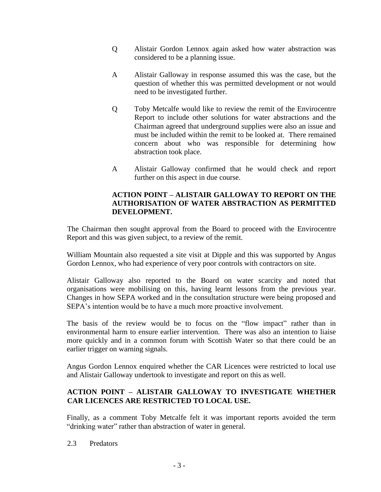- Q Alistair Gordon Lennox again asked how water abstraction was considered to be a planning issue.
- A Alistair Galloway in response assumed this was the case, but the question of whether this was permitted development or not would need to be investigated further.
- Q Toby Metcalfe would like to review the remit of the Envirocentre Report to include other solutions for water abstractions and the Chairman agreed that underground supplies were also an issue and must be included within the remit to be looked at. There remained concern about who was responsible for determining how abstraction took place.
- A Alistair Galloway confirmed that he would check and report further on this aspect in due course.

## **ACTION POINT – ALISTAIR GALLOWAY TO REPORT ON THE AUTHORISATION OF WATER ABSTRACTION AS PERMITTED DEVELOPMENT.**

The Chairman then sought approval from the Board to proceed with the Envirocentre Report and this was given subject, to a review of the remit.

William Mountain also requested a site visit at Dipple and this was supported by Angus Gordon Lennox, who had experience of very poor controls with contractors on site.

Alistair Galloway also reported to the Board on water scarcity and noted that organisations were mobilising on this, having learnt lessons from the previous year. Changes in how SEPA worked and in the consultation structure were being proposed and SEPA's intention would be to have a much more proactive involvement.

The basis of the review would be to focus on the "flow impact" rather than in environmental harm to ensure earlier intervention. There was also an intention to liaise more quickly and in a common forum with Scottish Water so that there could be an earlier trigger on warning signals.

Angus Gordon Lennox enquired whether the CAR Licences were restricted to local use and Alistair Galloway undertook to investigate and report on this as well.

## **ACTION POINT – ALISTAIR GALLOWAY TO INVESTIGATE WHETHER CAR LICENCES ARE RESTRICTED TO LOCAL USE.**

Finally, as a comment Toby Metcalfe felt it was important reports avoided the term "drinking water" rather than abstraction of water in general.

2.3 Predators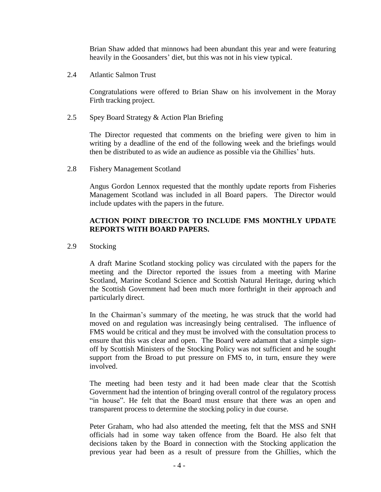Brian Shaw added that minnows had been abundant this year and were featuring heavily in the Goosanders' diet, but this was not in his view typical.

2.4 Atlantic Salmon Trust

Congratulations were offered to Brian Shaw on his involvement in the Moray Firth tracking project.

2.5 Spey Board Strategy & Action Plan Briefing

The Director requested that comments on the briefing were given to him in writing by a deadline of the end of the following week and the briefings would then be distributed to as wide an audience as possible via the Ghillies' huts.

2.8 Fishery Management Scotland

Angus Gordon Lennox requested that the monthly update reports from Fisheries Management Scotland was included in all Board papers. The Director would include updates with the papers in the future.

### **ACTION POINT DIRECTOR TO INCLUDE FMS MONTHLY UPDATE REPORTS WITH BOARD PAPERS.**

2.9 Stocking

A draft Marine Scotland stocking policy was circulated with the papers for the meeting and the Director reported the issues from a meeting with Marine Scotland, Marine Scotland Science and Scottish Natural Heritage, during which the Scottish Government had been much more forthright in their approach and particularly direct.

In the Chairman's summary of the meeting, he was struck that the world had moved on and regulation was increasingly being centralised. The influence of FMS would be critical and they must be involved with the consultation process to ensure that this was clear and open. The Board were adamant that a simple signoff by Scottish Ministers of the Stocking Policy was not sufficient and he sought support from the Broad to put pressure on FMS to, in turn, ensure they were involved.

The meeting had been testy and it had been made clear that the Scottish Government had the intention of bringing overall control of the regulatory process "in house". He felt that the Board must ensure that there was an open and transparent process to determine the stocking policy in due course.

Peter Graham, who had also attended the meeting, felt that the MSS and SNH officials had in some way taken offence from the Board. He also felt that decisions taken by the Board in connection with the Stocking application the previous year had been as a result of pressure from the Ghillies, which the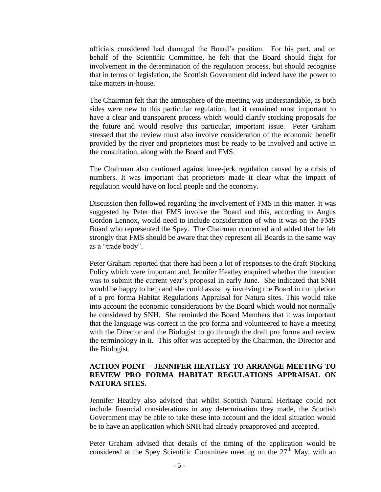officials considered had damaged the Board's position. For his part, and on behalf of the Scientific Committee, he felt that the Board should fight for involvement in the determination of the regulation process, but should recognise that in terms of legislation, the Scottish Government did indeed have the power to take matters in-house.

The Chairman felt that the atmosphere of the meeting was understandable, as both sides were new to this particular regulation, but it remained most important to have a clear and transparent process which would clarify stocking proposals for the future and would resolve this particular, important issue. Peter Graham stressed that the review must also involve consideration of the economic benefit provided by the river and proprietors must be ready to be involved and active in the consultation, along with the Board and FMS.

The Chairman also cautioned against knee-jerk regulation caused by a crisis of numbers. It was important that proprietors made it clear what the impact of regulation would have on local people and the economy.

Discussion then followed regarding the involvement of FMS in this matter. It was suggested by Peter that FMS involve the Board and this, according to Angus Gordon Lennox, would need to include consideration of who it was on the FMS Board who represented the Spey. The Chairman concurred and added that he felt strongly that FMS should be aware that they represent all Boards in the same way as a "trade body".

Peter Graham reported that there had been a lot of responses to the draft Stocking Policy which were important and, Jennifer Heatley enquired whether the intention was to submit the current year's proposal in early June. She indicated that SNH would be happy to help and she could assist by involving the Board in completion of a pro forma Habitat Regulations Appraisal for Natura sites. This would take into account the economic considerations by the Board which would not normally be considered by SNH. She reminded the Board Members that it was important that the language was correct in the pro forma and volunteered to have a meeting with the Director and the Biologist to go through the draft pro forma and review the terminology in it. This offer was accepted by the Chairman, the Director and the Biologist.

#### **ACTION POINT – JENNIFER HEATLEY TO ARRANGE MEETING TO REVIEW PRO FORMA HABITAT REGULATIONS APPRAISAL ON NATURA SITES.**

Jennifer Heatley also advised that whilst Scottish Natural Heritage could not include financial considerations in any determination they made, the Scottish Government may be able to take these into account and the ideal situation would be to have an application which SNH had already preapproved and accepted.

Peter Graham advised that details of the timing of the application would be considered at the Spey Scientific Committee meeting on the 27<sup>th</sup> May, with an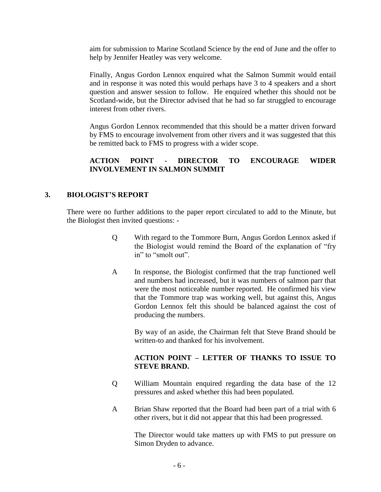aim for submission to Marine Scotland Science by the end of June and the offer to help by Jennifer Heatley was very welcome.

Finally, Angus Gordon Lennox enquired what the Salmon Summit would entail and in response it was noted this would perhaps have 3 to 4 speakers and a short question and answer session to follow. He enquired whether this should not be Scotland-wide, but the Director advised that he had so far struggled to encourage interest from other rivers.

Angus Gordon Lennox recommended that this should be a matter driven forward by FMS to encourage involvement from other rivers and it was suggested that this be remitted back to FMS to progress with a wider scope.

# **ACTION POINT - DIRECTOR TO ENCOURAGE WIDER INVOLVEMENT IN SALMON SUMMIT**

## **3. BIOLOGIST'S REPORT**

There were no further additions to the paper report circulated to add to the Minute, but the Biologist then invited questions: -

- Q With regard to the Tommore Burn, Angus Gordon Lennox asked if the Biologist would remind the Board of the explanation of "fry in" to "smolt out".
- A In response, the Biologist confirmed that the trap functioned well and numbers had increased, but it was numbers of salmon parr that were the most noticeable number reported. He confirmed his view that the Tommore trap was working well, but against this, Angus Gordon Lennox felt this should be balanced against the cost of producing the numbers.

By way of an aside, the Chairman felt that Steve Brand should be written-to and thanked for his involvement.

## **ACTION POINT – LETTER OF THANKS TO ISSUE TO STEVE BRAND.**

- Q William Mountain enquired regarding the data base of the 12 pressures and asked whether this had been populated.
- A Brian Shaw reported that the Board had been part of a trial with 6 other rivers, but it did not appear that this had been progressed.

The Director would take matters up with FMS to put pressure on Simon Dryden to advance.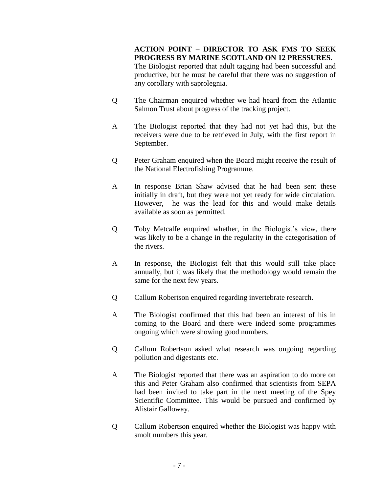**ACTION POINT – DIRECTOR TO ASK FMS TO SEEK PROGRESS BY MARINE SCOTLAND ON 12 PRESSURES.** The Biologist reported that adult tagging had been successful and productive, but he must be careful that there was no suggestion of any corollary with saprolegnia.

- Q The Chairman enquired whether we had heard from the Atlantic Salmon Trust about progress of the tracking project.
- A The Biologist reported that they had not yet had this, but the receivers were due to be retrieved in July, with the first report in September.
- Q Peter Graham enquired when the Board might receive the result of the National Electrofishing Programme.
- A In response Brian Shaw advised that he had been sent these initially in draft, but they were not yet ready for wide circulation. However, he was the lead for this and would make details available as soon as permitted.
- Q Toby Metcalfe enquired whether, in the Biologist's view, there was likely to be a change in the regularity in the categorisation of the rivers.
- A In response, the Biologist felt that this would still take place annually, but it was likely that the methodology would remain the same for the next few years.
- Q Callum Robertson enquired regarding invertebrate research.
- A The Biologist confirmed that this had been an interest of his in coming to the Board and there were indeed some programmes ongoing which were showing good numbers.
- Q Callum Robertson asked what research was ongoing regarding pollution and digestants etc.
- A The Biologist reported that there was an aspiration to do more on this and Peter Graham also confirmed that scientists from SEPA had been invited to take part in the next meeting of the Spey Scientific Committee. This would be pursued and confirmed by Alistair Galloway.
- Q Callum Robertson enquired whether the Biologist was happy with smolt numbers this year.